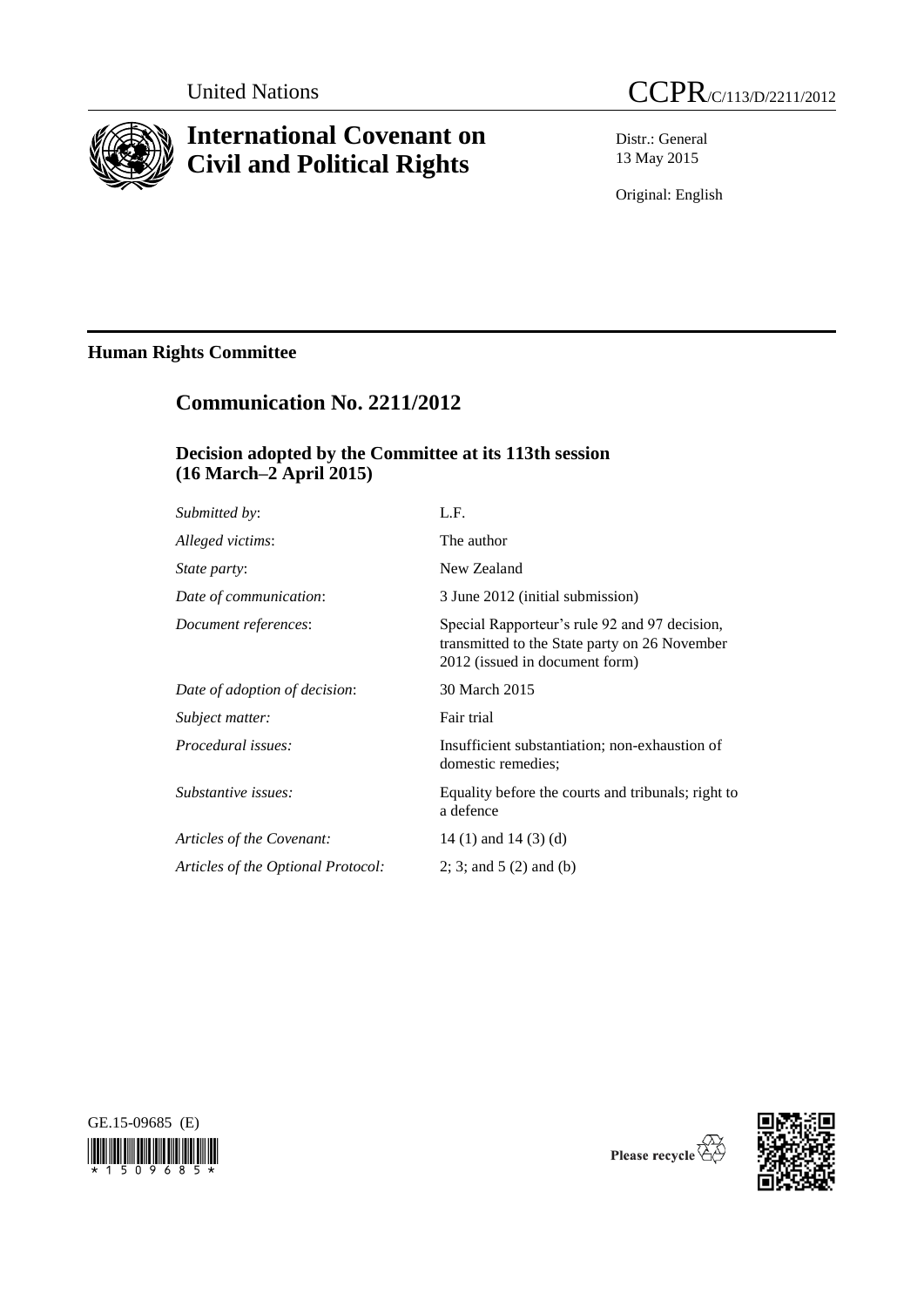

# **International Covenant on Civil and Political Rights**

Distr.: General 13 May 2015

Original: English

# **Human Rights Committee**

# **Communication No. 2211/2012**

## **Decision adopted by the Committee at its 113th session (16 March–2 April 2015)**

| Submitted by:                      | L.F.                                                                                                                             |
|------------------------------------|----------------------------------------------------------------------------------------------------------------------------------|
| Alleged victims:                   | The author                                                                                                                       |
| <i>State party:</i>                | New Zealand                                                                                                                      |
| Date of communication:             | 3 June 2012 (initial submission)                                                                                                 |
| Document references:               | Special Rapporteur's rule 92 and 97 decision,<br>transmitted to the State party on 26 November<br>2012 (issued in document form) |
| Date of adoption of decision:      | 30 March 2015                                                                                                                    |
| Subject matter:                    | Fair trial                                                                                                                       |
| Procedural issues:                 | Insufficient substantiation; non-exhaustion of<br>domestic remedies;                                                             |
| Substantive issues:                | Equality before the courts and tribunals; right to<br>a defence                                                                  |
| Articles of the Covenant:          | 14 (1) and 14 (3) (d)                                                                                                            |
| Articles of the Optional Protocol: | 2; 3; and $5(2)$ and (b)                                                                                                         |
|                                    |                                                                                                                                  |





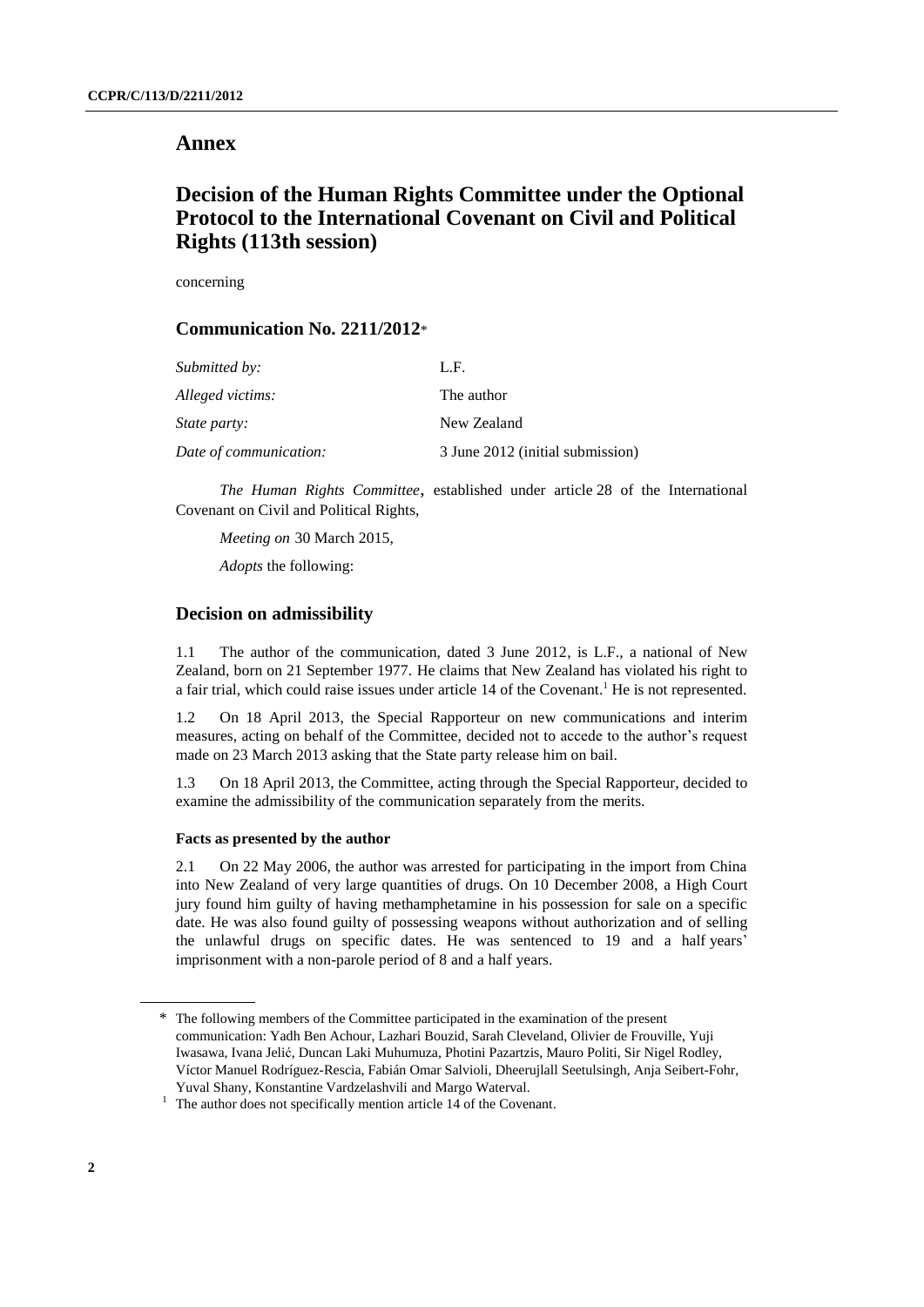### **Annex**

# **Decision of the Human Rights Committee under the Optional Protocol to the International Covenant on Civil and Political Rights (113th session)**

concerning

### **Communication No. 2211/2012**\*

| <i>Submitted by:</i>   | L.F.                             |
|------------------------|----------------------------------|
| Alleged victims:       | The author                       |
| <i>State party:</i>    | New Zealand                      |
| Date of communication: | 3 June 2012 (initial submission) |

*The Human Rights Committee*, established under article 28 of the International Covenant on Civil and Political Rights,

*Meeting on* 30 March 2015,

*Adopts* the following:

### **Decision on admissibility**

1.1 The author of the communication, dated 3 June 2012, is L.F., a national of New Zealand, born on 21 September 1977. He claims that New Zealand has violated his right to a fair trial, which could raise issues under article 14 of the Covenant.<sup>1</sup> He is not represented.

1.2 On 18 April 2013, the Special Rapporteur on new communications and interim measures, acting on behalf of the Committee, decided not to accede to the author's request made on 23 March 2013 asking that the State party release him on bail.

1.3 On 18 April 2013, the Committee, acting through the Special Rapporteur, decided to examine the admissibility of the communication separately from the merits.

#### **Facts as presented by the author**

2.1 On 22 May 2006, the author was arrested for participating in the import from China into New Zealand of very large quantities of drugs. On 10 December 2008, a High Court jury found him guilty of having methamphetamine in his possession for sale on a specific date. He was also found guilty of possessing weapons without authorization and of selling the unlawful drugs on specific dates. He was sentenced to 19 and a half years' imprisonment with a non-parole period of 8 and a half years.

<sup>\*</sup> The following members of the Committee participated in the examination of the present communication: Yadh Ben Achour, Lazhari Bouzid, Sarah Cleveland, Olivier de Frouville, Yuji Iwasawa, Ivana Jelić, Duncan Laki Muhumuza, Photini Pazartzis, Mauro Politi, Sir Nigel Rodley, Víctor Manuel Rodríguez-Rescia, Fabián Omar Salvioli, Dheerujlall Seetulsingh, Anja Seibert-Fohr, Yuval Shany, Konstantine Vardzelashvili and Margo Waterval.

<sup>&</sup>lt;sup>1</sup> The author does not specifically mention article 14 of the Covenant.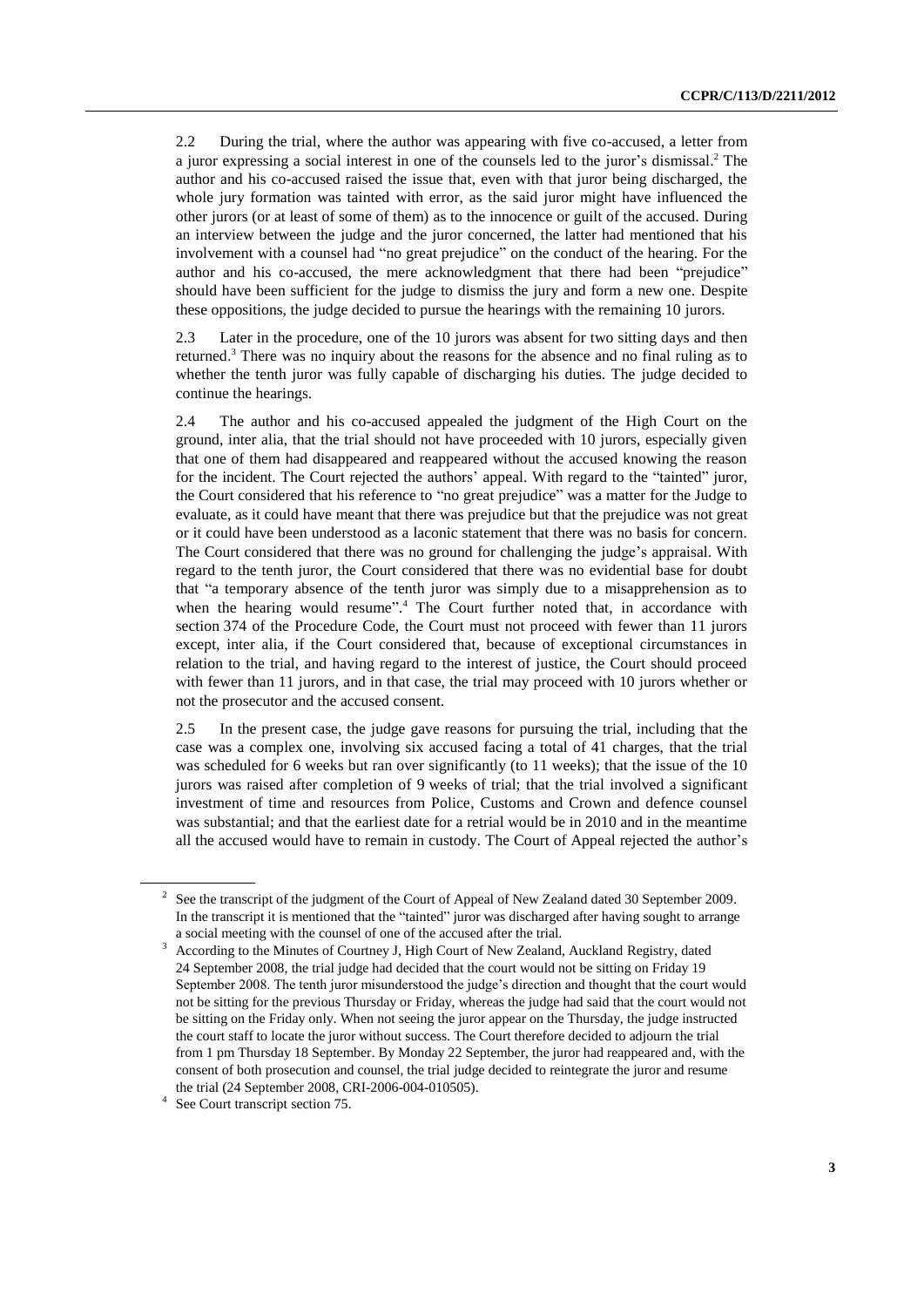2.2 During the trial, where the author was appearing with five co-accused, a letter from a juror expressing a social interest in one of the counsels led to the juror's dismissal. <sup>2</sup> The author and his co-accused raised the issue that, even with that juror being discharged, the whole jury formation was tainted with error, as the said juror might have influenced the other jurors (or at least of some of them) as to the innocence or guilt of the accused. During an interview between the judge and the juror concerned, the latter had mentioned that his involvement with a counsel had "no great prejudice" on the conduct of the hearing. For the author and his co-accused, the mere acknowledgment that there had been "prejudice" should have been sufficient for the judge to dismiss the jury and form a new one. Despite these oppositions, the judge decided to pursue the hearings with the remaining 10 jurors.

2.3 Later in the procedure, one of the 10 jurors was absent for two sitting days and then returned.<sup>3</sup> There was no inquiry about the reasons for the absence and no final ruling as to whether the tenth juror was fully capable of discharging his duties. The judge decided to continue the hearings.

2.4 The author and his co-accused appealed the judgment of the High Court on the ground, inter alia, that the trial should not have proceeded with 10 jurors, especially given that one of them had disappeared and reappeared without the accused knowing the reason for the incident. The Court rejected the authors' appeal. With regard to the "tainted" juror, the Court considered that his reference to "no great prejudice" was a matter for the Judge to evaluate, as it could have meant that there was prejudice but that the prejudice was not great or it could have been understood as a laconic statement that there was no basis for concern. The Court considered that there was no ground for challenging the judge's appraisal. With regard to the tenth juror, the Court considered that there was no evidential base for doubt that "a temporary absence of the tenth juror was simply due to a misapprehension as to when the hearing would resume".<sup>4</sup> The Court further noted that, in accordance with section 374 of the Procedure Code, the Court must not proceed with fewer than 11 jurors except, inter alia, if the Court considered that, because of exceptional circumstances in relation to the trial, and having regard to the interest of justice, the Court should proceed with fewer than 11 jurors, and in that case, the trial may proceed with 10 jurors whether or not the prosecutor and the accused consent.

2.5 In the present case, the judge gave reasons for pursuing the trial, including that the case was a complex one, involving six accused facing a total of 41 charges, that the trial was scheduled for 6 weeks but ran over significantly (to 11 weeks); that the issue of the 10 jurors was raised after completion of 9 weeks of trial; that the trial involved a significant investment of time and resources from Police, Customs and Crown and defence counsel was substantial; and that the earliest date for a retrial would be in 2010 and in the meantime all the accused would have to remain in custody. The Court of Appeal rejected the author's

 $2^2$  See the transcript of the judgment of the Court of Appeal of New Zealand dated 30 September 2009. In the transcript it is mentioned that the "tainted" juror was discharged after having sought to arrange a social meeting with the counsel of one of the accused after the trial.

According to the Minutes of Courtney J, High Court of New Zealand, Auckland Registry, dated 24 September 2008, the trial judge had decided that the court would not be sitting on Friday 19 September 2008. The tenth juror misunderstood the judge's direction and thought that the court would not be sitting for the previous Thursday or Friday, whereas the judge had said that the court would not be sitting on the Friday only. When not seeing the juror appear on the Thursday, the judge instructed the court staff to locate the juror without success. The Court therefore decided to adjourn the trial from 1 pm Thursday 18 September. By Monday 22 September, the juror had reappeared and, with the consent of both prosecution and counsel, the trial judge decided to reintegrate the juror and resume the trial (24 September 2008, CRI-2006-004-010505).

<sup>&</sup>lt;sup>4</sup> See Court transcript section 75.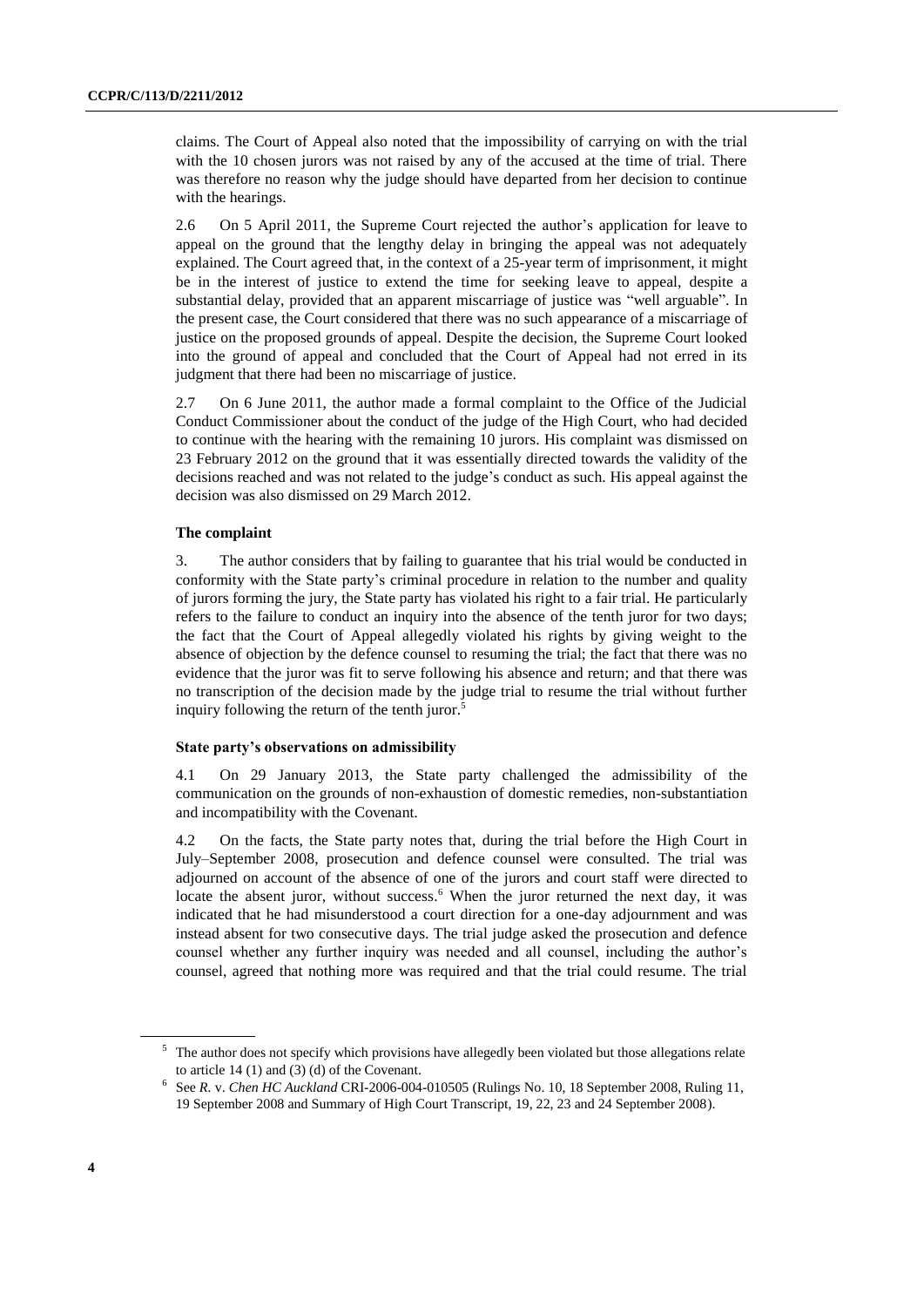claims. The Court of Appeal also noted that the impossibility of carrying on with the trial with the 10 chosen jurors was not raised by any of the accused at the time of trial. There was therefore no reason why the judge should have departed from her decision to continue with the hearings.

2.6 On 5 April 2011, the Supreme Court rejected the author's application for leave to appeal on the ground that the lengthy delay in bringing the appeal was not adequately explained. The Court agreed that, in the context of a 25-year term of imprisonment, it might be in the interest of justice to extend the time for seeking leave to appeal, despite a substantial delay, provided that an apparent miscarriage of justice was "well arguable". In the present case, the Court considered that there was no such appearance of a miscarriage of justice on the proposed grounds of appeal. Despite the decision, the Supreme Court looked into the ground of appeal and concluded that the Court of Appeal had not erred in its judgment that there had been no miscarriage of justice.

2.7 On 6 June 2011, the author made a formal complaint to the Office of the Judicial Conduct Commissioner about the conduct of the judge of the High Court, who had decided to continue with the hearing with the remaining 10 jurors. His complaint was dismissed on 23 February 2012 on the ground that it was essentially directed towards the validity of the decisions reached and was not related to the judge's conduct as such. His appeal against the decision was also dismissed on 29 March 2012.

#### **The complaint**

3. The author considers that by failing to guarantee that his trial would be conducted in conformity with the State party's criminal procedure in relation to the number and quality of jurors forming the jury, the State party has violated his right to a fair trial. He particularly refers to the failure to conduct an inquiry into the absence of the tenth juror for two days; the fact that the Court of Appeal allegedly violated his rights by giving weight to the absence of objection by the defence counsel to resuming the trial; the fact that there was no evidence that the juror was fit to serve following his absence and return; and that there was no transcription of the decision made by the judge trial to resume the trial without further inquiry following the return of the tenth juror. 5

### **State party's observations on admissibility**

4.1 On 29 January 2013, the State party challenged the admissibility of the communication on the grounds of non-exhaustion of domestic remedies, non-substantiation and incompatibility with the Covenant.

4.2 On the facts, the State party notes that, during the trial before the High Court in July–September 2008, prosecution and defence counsel were consulted. The trial was adjourned on account of the absence of one of the jurors and court staff were directed to locate the absent juror, without success.<sup>6</sup> When the juror returned the next day, it was indicated that he had misunderstood a court direction for a one-day adjournment and was instead absent for two consecutive days. The trial judge asked the prosecution and defence counsel whether any further inquiry was needed and all counsel, including the author's counsel, agreed that nothing more was required and that the trial could resume. The trial

<sup>&</sup>lt;sup>5</sup> The author does not specify which provisions have allegedly been violated but those allegations relate to article 14 (1) and (3) (d) of the Covenant.

<sup>6</sup> See *R.* v. *Chen HC Auckland* CRI-2006-004-010505 (Rulings No. 10, 18 September 2008, Ruling 11, 19 September 2008 and Summary of High Court Transcript, 19, 22, 23 and 24 September 2008).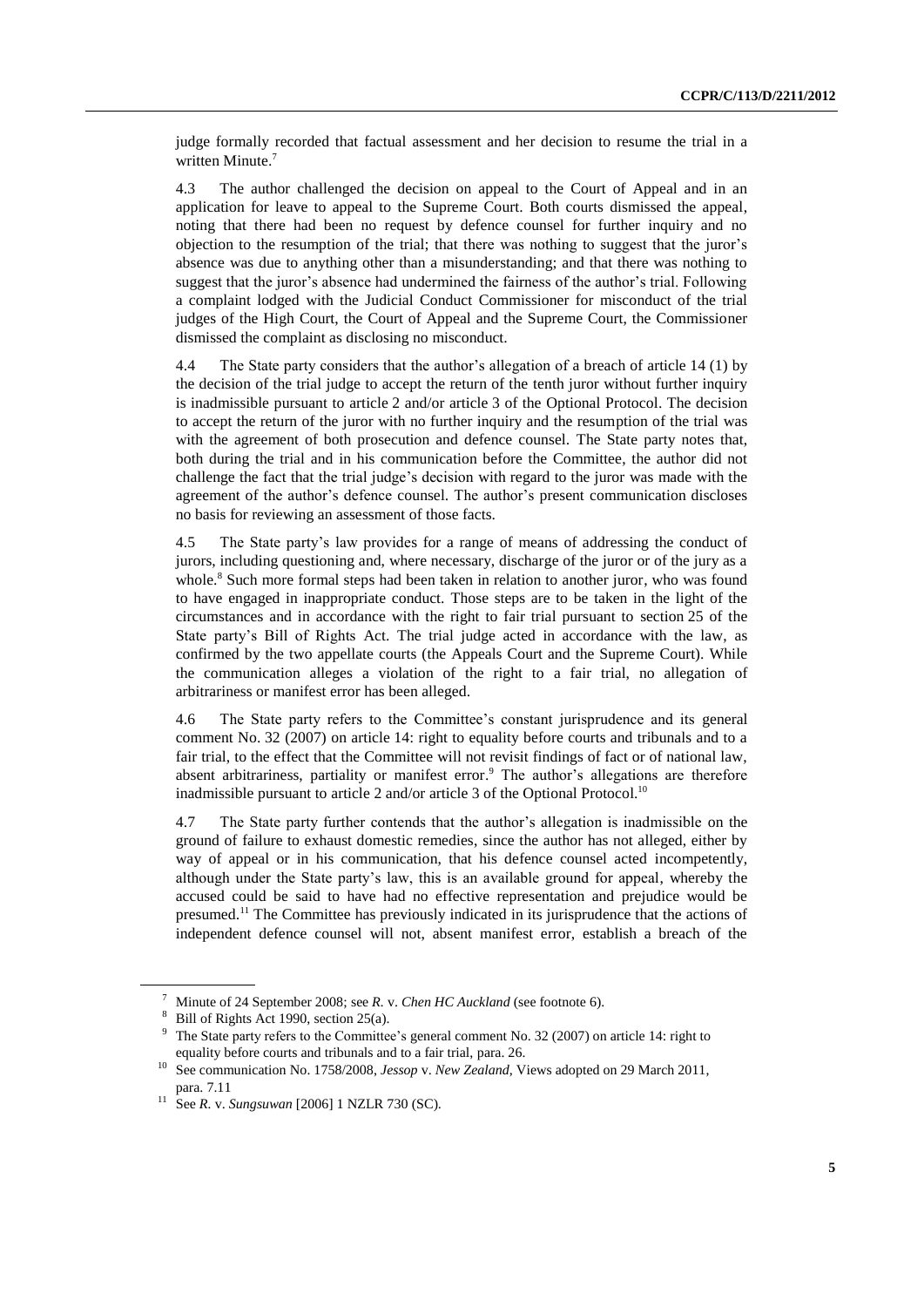judge formally recorded that factual assessment and her decision to resume the trial in a written Minute. 7

4.3 The author challenged the decision on appeal to the Court of Appeal and in an application for leave to appeal to the Supreme Court. Both courts dismissed the appeal, noting that there had been no request by defence counsel for further inquiry and no objection to the resumption of the trial; that there was nothing to suggest that the juror's absence was due to anything other than a misunderstanding; and that there was nothing to suggest that the juror's absence had undermined the fairness of the author's trial. Following a complaint lodged with the Judicial Conduct Commissioner for misconduct of the trial judges of the High Court, the Court of Appeal and the Supreme Court, the Commissioner dismissed the complaint as disclosing no misconduct.

4.4 The State party considers that the author's allegation of a breach of article 14 (1) by the decision of the trial judge to accept the return of the tenth juror without further inquiry is inadmissible pursuant to article 2 and/or article 3 of the Optional Protocol. The decision to accept the return of the juror with no further inquiry and the resumption of the trial was with the agreement of both prosecution and defence counsel. The State party notes that, both during the trial and in his communication before the Committee, the author did not challenge the fact that the trial judge's decision with regard to the juror was made with the agreement of the author's defence counsel. The author's present communication discloses no basis for reviewing an assessment of those facts.

4.5 The State party's law provides for a range of means of addressing the conduct of jurors, including questioning and, where necessary, discharge of the juror or of the jury as a whole. <sup>8</sup> Such more formal steps had been taken in relation to another juror, who was found to have engaged in inappropriate conduct. Those steps are to be taken in the light of the circumstances and in accordance with the right to fair trial pursuant to section 25 of the State party's Bill of Rights Act. The trial judge acted in accordance with the law, as confirmed by the two appellate courts (the Appeals Court and the Supreme Court). While the communication alleges a violation of the right to a fair trial, no allegation of arbitrariness or manifest error has been alleged.

4.6 The State party refers to the Committee's constant jurisprudence and its general comment No. 32 (2007) on article 14: right to equality before courts and tribunals and to a fair trial, to the effect that the Committee will not revisit findings of fact or of national law, absent arbitrariness, partiality or manifest error. <sup>9</sup> The author's allegations are therefore inadmissible pursuant to article 2 and/or article 3 of the Optional Protocol.<sup>10</sup>

4.7 The State party further contends that the author's allegation is inadmissible on the ground of failure to exhaust domestic remedies, since the author has not alleged, either by way of appeal or in his communication, that his defence counsel acted incompetently, although under the State party's law, this is an available ground for appeal, whereby the accused could be said to have had no effective representation and prejudice would be presumed.<sup>11</sup> The Committee has previously indicated in its jurisprudence that the actions of independent defence counsel will not, absent manifest error, establish a breach of the

<sup>7</sup> Minute of 24 September 2008; see *R.* v. *Chen HC Auckland* (see footnote 6).

<sup>&</sup>lt;sup>8</sup> Bill of Rights Act 1990, section 25(a).<br><sup>9</sup> The State party refers to the Committee

The State party refers to the Committee's general comment No. 32 (2007) on article 14: right to equality before courts and tribunals and to a fair trial, para. 26.

<sup>10</sup> See communication No. 1758/2008, *Jessop* v. *New Zealand*, Views adopted on 29 March 2011, para. 7.11

<sup>11</sup> See *R.* v. *Sungsuwan* [2006] 1 NZLR 730 (SC).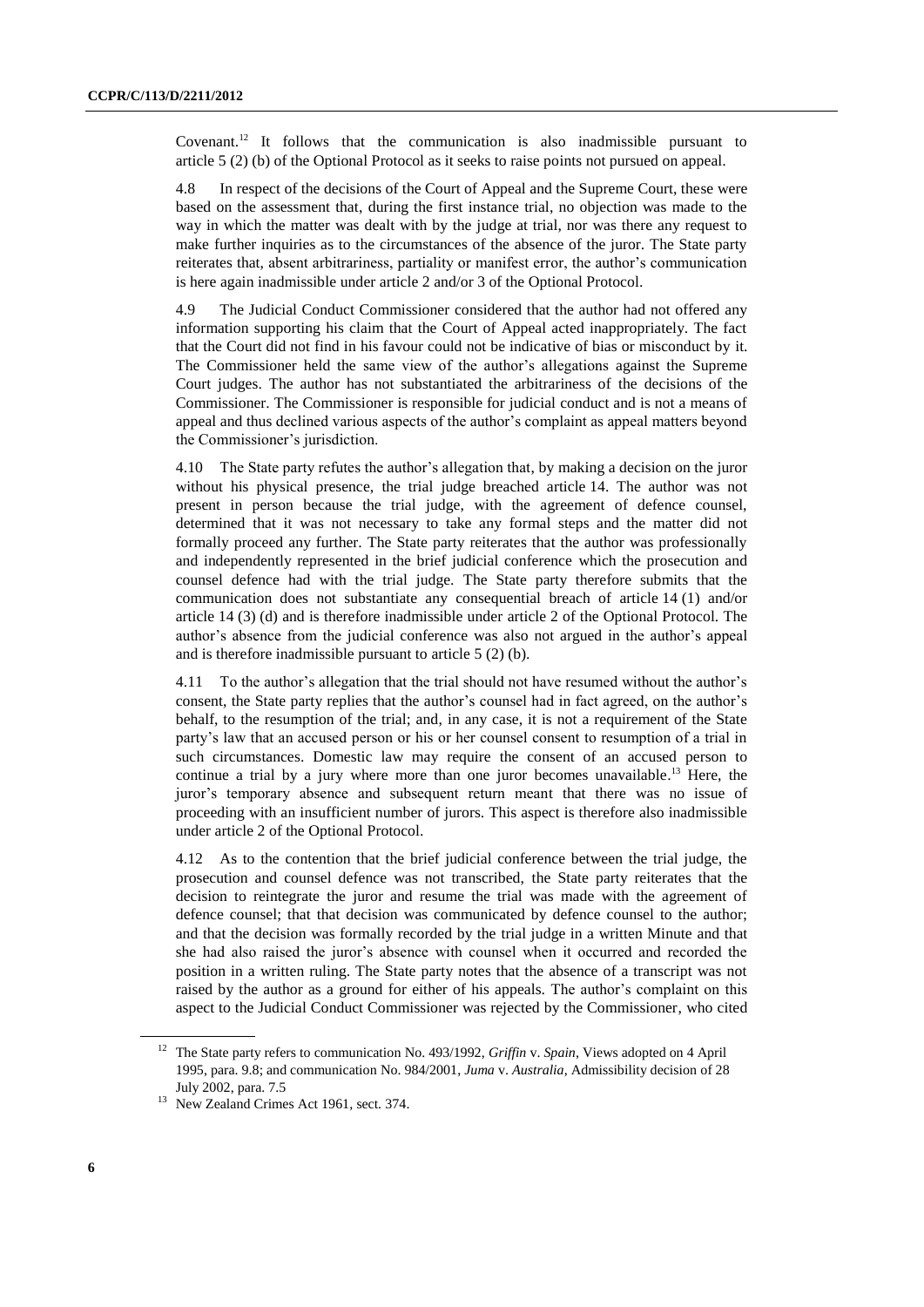Covenant. <sup>12</sup> It follows that the communication is also inadmissible pursuant to article 5 (2) (b) of the Optional Protocol as it seeks to raise points not pursued on appeal.

4.8 In respect of the decisions of the Court of Appeal and the Supreme Court, these were based on the assessment that, during the first instance trial, no objection was made to the way in which the matter was dealt with by the judge at trial, nor was there any request to make further inquiries as to the circumstances of the absence of the juror. The State party reiterates that, absent arbitrariness, partiality or manifest error, the author's communication is here again inadmissible under article 2 and/or 3 of the Optional Protocol.

4.9 The Judicial Conduct Commissioner considered that the author had not offered any information supporting his claim that the Court of Appeal acted inappropriately. The fact that the Court did not find in his favour could not be indicative of bias or misconduct by it. The Commissioner held the same view of the author's allegations against the Supreme Court judges. The author has not substantiated the arbitrariness of the decisions of the Commissioner. The Commissioner is responsible for judicial conduct and is not a means of appeal and thus declined various aspects of the author's complaint as appeal matters beyond the Commissioner's jurisdiction.

4.10 The State party refutes the author's allegation that, by making a decision on the juror without his physical presence, the trial judge breached article 14. The author was not present in person because the trial judge, with the agreement of defence counsel, determined that it was not necessary to take any formal steps and the matter did not formally proceed any further. The State party reiterates that the author was professionally and independently represented in the brief judicial conference which the prosecution and counsel defence had with the trial judge. The State party therefore submits that the communication does not substantiate any consequential breach of article 14 (1) and/or article 14 (3) (d) and is therefore inadmissible under article 2 of the Optional Protocol. The author's absence from the judicial conference was also not argued in the author's appeal and is therefore inadmissible pursuant to article 5 (2) (b).

4.11 To the author's allegation that the trial should not have resumed without the author's consent, the State party replies that the author's counsel had in fact agreed, on the author's behalf, to the resumption of the trial; and, in any case, it is not a requirement of the State party's law that an accused person or his or her counsel consent to resumption of a trial in such circumstances. Domestic law may require the consent of an accused person to continue a trial by a jury where more than one juror becomes unavailable. <sup>13</sup> Here, the juror's temporary absence and subsequent return meant that there was no issue of proceeding with an insufficient number of jurors. This aspect is therefore also inadmissible under article 2 of the Optional Protocol.

4.12 As to the contention that the brief judicial conference between the trial judge, the prosecution and counsel defence was not transcribed, the State party reiterates that the decision to reintegrate the juror and resume the trial was made with the agreement of defence counsel; that that decision was communicated by defence counsel to the author; and that the decision was formally recorded by the trial judge in a written Minute and that she had also raised the juror's absence with counsel when it occurred and recorded the position in a written ruling. The State party notes that the absence of a transcript was not raised by the author as a ground for either of his appeals. The author's complaint on this aspect to the Judicial Conduct Commissioner was rejected by the Commissioner, who cited

<sup>12</sup> The State party refers to communication No. 493/1992, *Griffin* v. *Spain*, Views adopted on 4 April 1995, para. 9.8; and communication No. 984/2001, *Juma* v. *Australia*, Admissibility decision of 28 July 2002, para. 7.5

<sup>&</sup>lt;sup>13</sup> New Zealand Crimes Act 1961, sect. 374.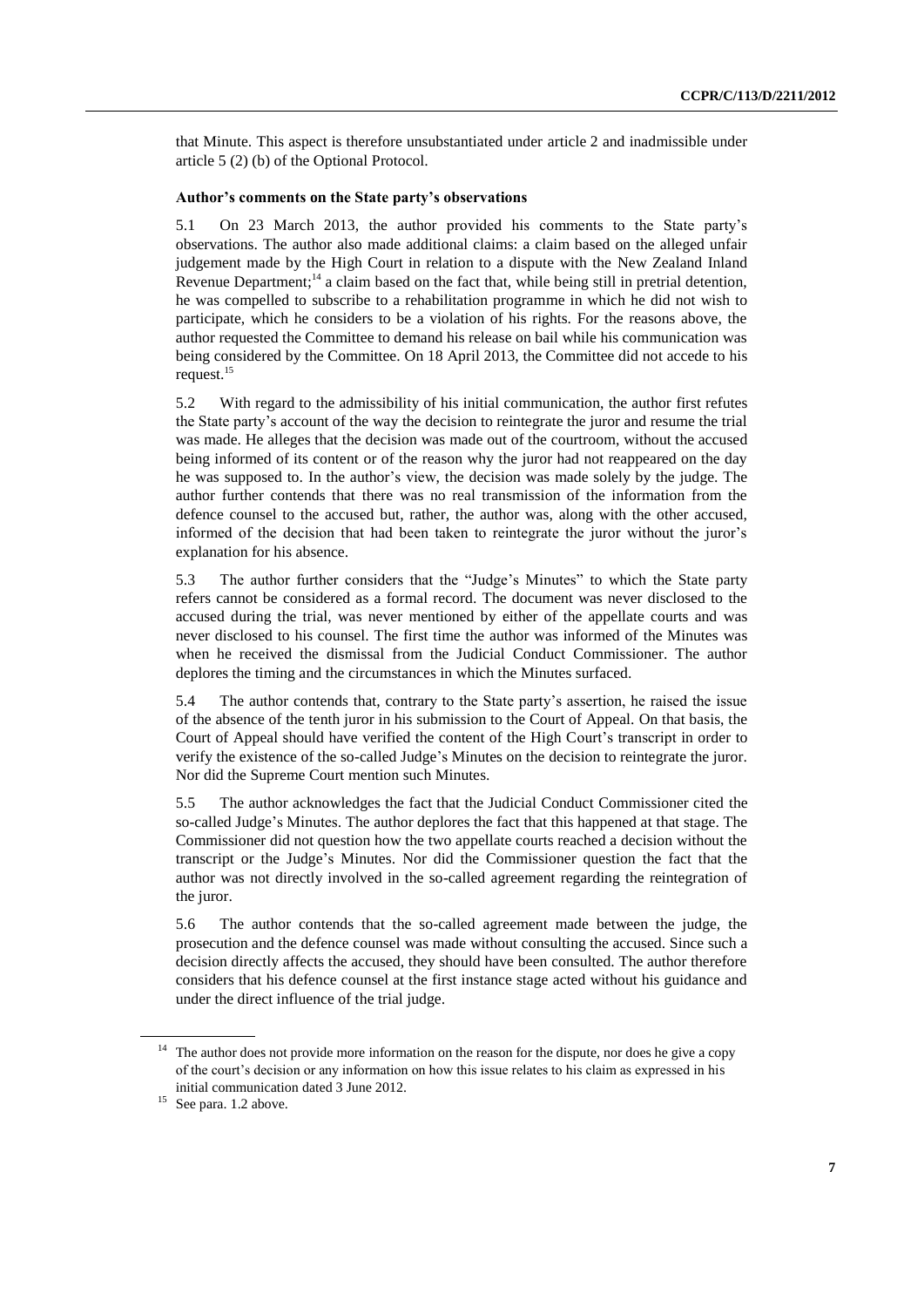that Minute. This aspect is therefore unsubstantiated under article 2 and inadmissible under article 5 (2) (b) of the Optional Protocol.

#### **Author's comments on the State party's observations**

5.1 On 23 March 2013, the author provided his comments to the State party's observations. The author also made additional claims: a claim based on the alleged unfair judgement made by the High Court in relation to a dispute with the New Zealand Inland Revenue Department;<sup>14</sup> a claim based on the fact that, while being still in pretrial detention, he was compelled to subscribe to a rehabilitation programme in which he did not wish to participate, which he considers to be a violation of his rights. For the reasons above, the author requested the Committee to demand his release on bail while his communication was being considered by the Committee. On 18 April 2013, the Committee did not accede to his request. 15

5.2 With regard to the admissibility of his initial communication, the author first refutes the State party's account of the way the decision to reintegrate the juror and resume the trial was made. He alleges that the decision was made out of the courtroom, without the accused being informed of its content or of the reason why the juror had not reappeared on the day he was supposed to. In the author's view, the decision was made solely by the judge. The author further contends that there was no real transmission of the information from the defence counsel to the accused but, rather, the author was, along with the other accused, informed of the decision that had been taken to reintegrate the juror without the juror's explanation for his absence.

5.3 The author further considers that the "Judge's Minutes" to which the State party refers cannot be considered as a formal record. The document was never disclosed to the accused during the trial, was never mentioned by either of the appellate courts and was never disclosed to his counsel. The first time the author was informed of the Minutes was when he received the dismissal from the Judicial Conduct Commissioner. The author deplores the timing and the circumstances in which the Minutes surfaced.

5.4 The author contends that, contrary to the State party's assertion, he raised the issue of the absence of the tenth juror in his submission to the Court of Appeal. On that basis, the Court of Appeal should have verified the content of the High Court's transcript in order to verify the existence of the so-called Judge's Minutes on the decision to reintegrate the juror. Nor did the Supreme Court mention such Minutes.

5.5 The author acknowledges the fact that the Judicial Conduct Commissioner cited the so-called Judge's Minutes. The author deplores the fact that this happened at that stage. The Commissioner did not question how the two appellate courts reached a decision without the transcript or the Judge's Minutes. Nor did the Commissioner question the fact that the author was not directly involved in the so-called agreement regarding the reintegration of the juror.

5.6 The author contends that the so-called agreement made between the judge, the prosecution and the defence counsel was made without consulting the accused. Since such a decision directly affects the accused, they should have been consulted. The author therefore considers that his defence counsel at the first instance stage acted without his guidance and under the direct influence of the trial judge.

<sup>&</sup>lt;sup>14</sup> The author does not provide more information on the reason for the dispute, nor does he give a copy of the court's decision or any information on how this issue relates to his claim as expressed in his initial communication dated 3 June 2012.

<sup>&</sup>lt;sup>15</sup> See para. 1.2 above.